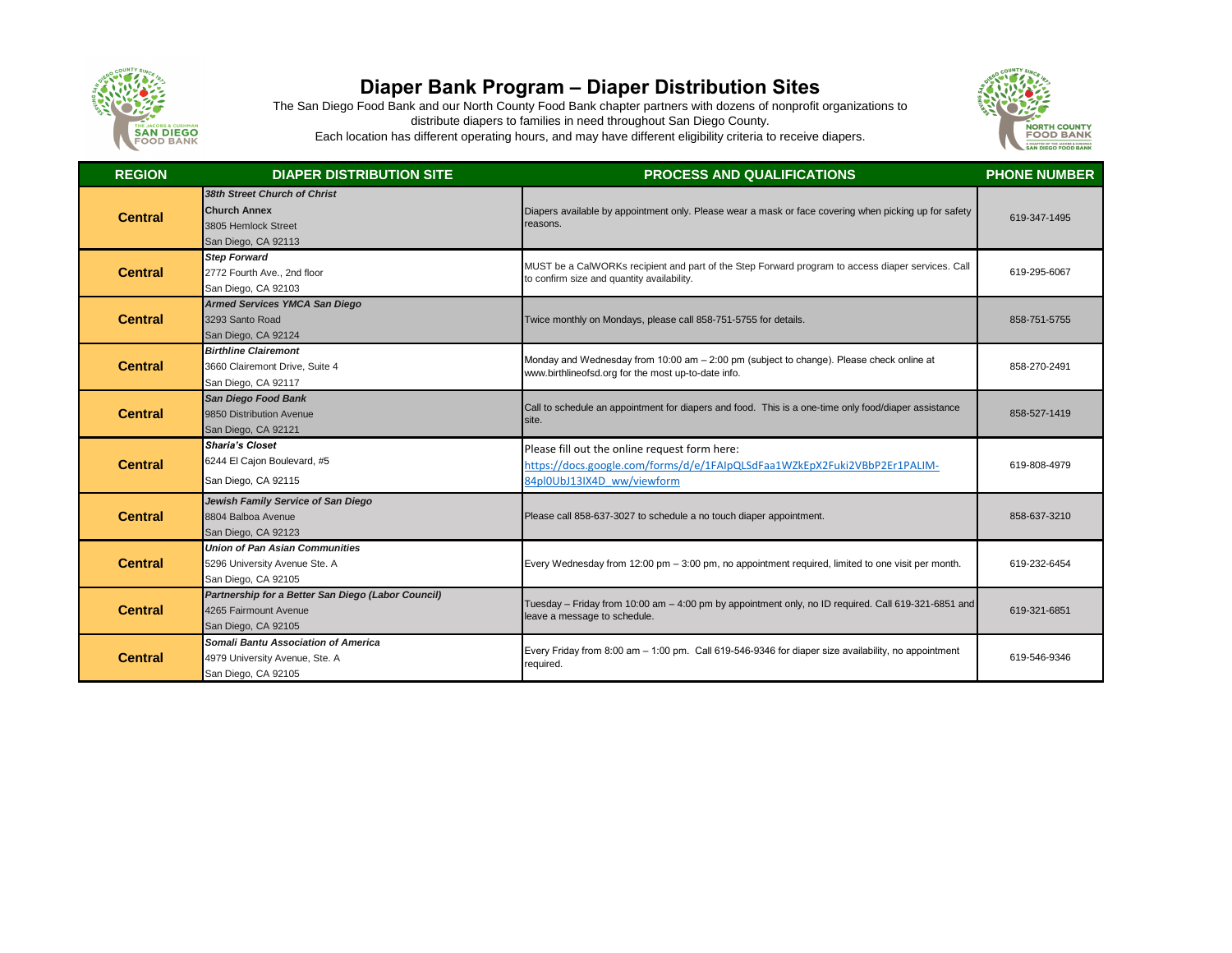

## **Diaper Bank Program – Diaper Distribution Sites**

The San Diego Food Bank and our North County Food Bank chapter partners with dozens of nonprofit organizations to distribute diapers to families in need throughout San Diego County. Each location has different operating hours, and may have different eligibility criteria to receive diapers.



| <b>REGION</b>  | <b>DIAPER DISTRIBUTION SITE</b>                                                                     | <b>PROCESS AND QUALIFICATIONS</b>                                                                                                                        | <b>PHONE NUMBER</b> |
|----------------|-----------------------------------------------------------------------------------------------------|----------------------------------------------------------------------------------------------------------------------------------------------------------|---------------------|
| <b>Central</b> | 38th Street Church of Christ<br><b>Church Annex</b><br>3805 Hemlock Street<br>San Diego, CA 92113   | Diapers available by appointment only. Please wear a mask or face covering when picking up for safety<br>reasons.                                        | 619-347-1495        |
| <b>Central</b> | <b>Step Forward</b><br>2772 Fourth Ave., 2nd floor<br>San Diego, CA 92103                           | MUST be a CalWORKs recipient and part of the Step Forward program to access diaper services. Call<br>to confirm size and quantity availability.          | 619-295-6067        |
| <b>Central</b> | <b>Armed Services YMCA San Diego</b><br>3293 Santo Road<br>San Diego, CA 92124                      | Twice monthly on Mondays, please call 858-751-5755 for details.                                                                                          | 858-751-5755        |
| <b>Central</b> | <b>Birthline Clairemont</b><br>3660 Clairemont Drive, Suite 4<br>San Diego, CA 92117                | Monday and Wednesday from 10:00 am - 2:00 pm (subject to change). Please check online at<br>www.birthlineofsd.org for the most up-to-date info.          | 858-270-2491        |
| <b>Central</b> | <b>San Diego Food Bank</b><br>9850 Distribution Avenue<br>San Diego, CA 92121                       | Call to schedule an appointment for diapers and food. This is a one-time only food/diaper assistance<br>site.                                            | 858-527-1419        |
| <b>Central</b> | <b>Sharia's Closet</b><br>6244 El Cajon Boulevard, #5<br>San Diego, CA 92115                        | Please fill out the online request form here:<br>https://docs.google.com/forms/d/e/1FAIpQLSdFaa1WZkEpX2Fuki2VBbP2Er1PALIM-<br>84pl0UbJ13IX4D ww/viewform | 619-808-4979        |
| <b>Central</b> | Jewish Family Service of San Diego<br>8804 Balboa Avenue<br>San Diego, CA 92123                     | Please call 858-637-3027 to schedule a no touch diaper appointment.                                                                                      | 858-637-3210        |
| <b>Central</b> | <b>Union of Pan Asian Communities</b><br>5296 University Avenue Ste. A<br>San Diego, CA 92105       | Every Wednesday from 12:00 pm - 3:00 pm, no appointment required, limited to one visit per month.                                                        | 619-232-6454        |
| <b>Central</b> | Partnership for a Better San Diego (Labor Council)<br>4265 Fairmount Avenue<br>San Diego, CA 92105  | Tuesday - Friday from 10:00 am - 4:00 pm by appointment only, no ID required. Call 619-321-6851 and<br>leave a message to schedule.                      | 619-321-6851        |
| <b>Central</b> | <b>Somali Bantu Association of America</b><br>4979 University Avenue, Ste. A<br>San Diego, CA 92105 | Every Friday from 8:00 am - 1:00 pm. Call 619-546-9346 for diaper size availability, no appointment<br>required.                                         | 619-546-9346        |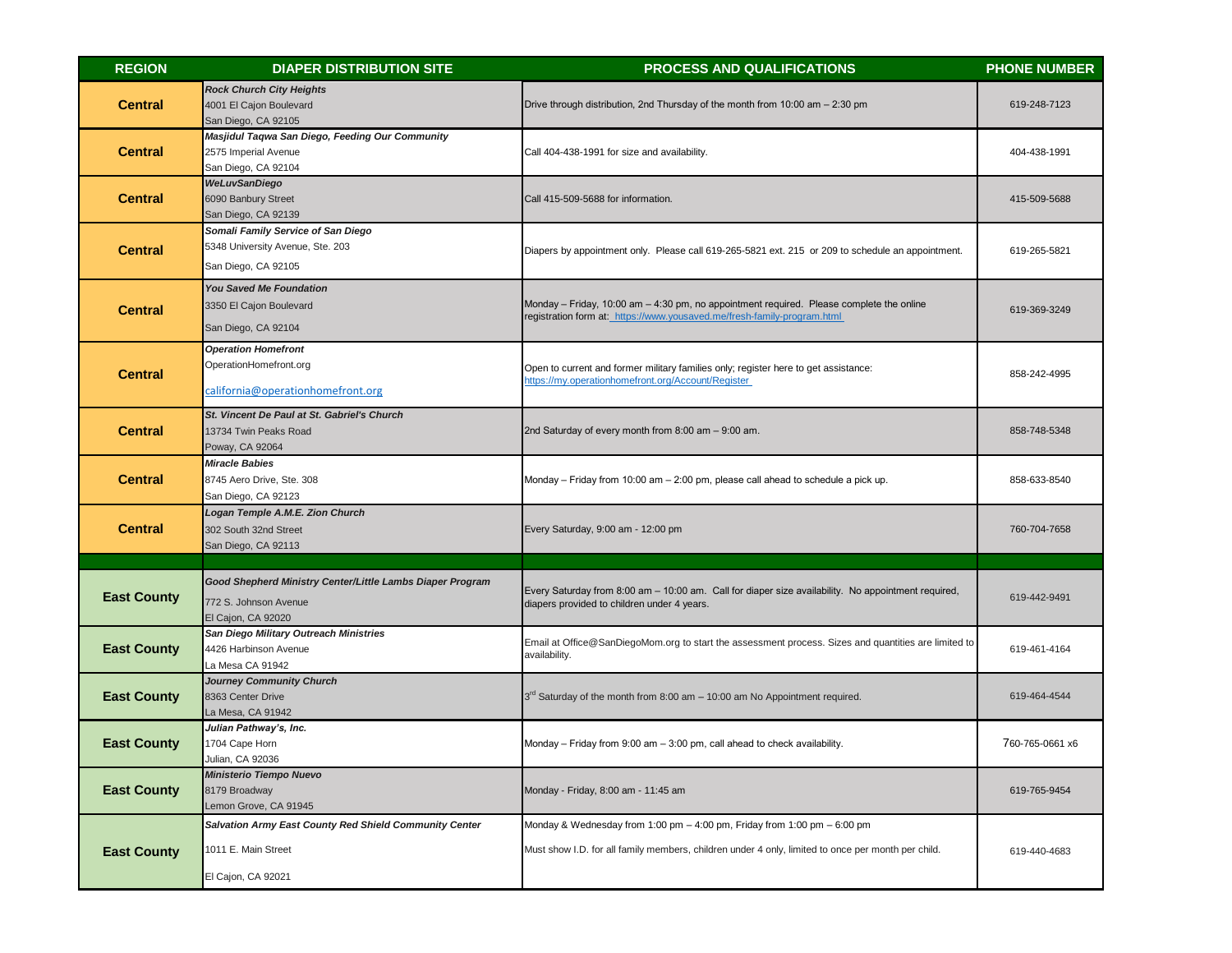| <b>REGION</b>      | <b>DIAPER DISTRIBUTION SITE</b>                                                                                 | <b>PROCESS AND QUALIFICATIONS</b>                                                                                                                                              | <b>PHONE NUMBER</b> |
|--------------------|-----------------------------------------------------------------------------------------------------------------|--------------------------------------------------------------------------------------------------------------------------------------------------------------------------------|---------------------|
| <b>Central</b>     | <b>Rock Church City Heights</b><br>4001 El Cajon Boulevard<br>San Diego, CA 92105                               | Drive through distribution, 2nd Thursday of the month from 10:00 am - 2:30 pm                                                                                                  | 619-248-7123        |
| <b>Central</b>     | Masjidul Taqwa San Diego, Feeding Our Community<br>2575 Imperial Avenue<br>San Diego, CA 92104                  | Call 404-438-1991 for size and availability.                                                                                                                                   | 404-438-1991        |
| <b>Central</b>     | <b>WeLuvSanDiego</b><br>6090 Banbury Street<br>San Diego, CA 92139                                              | Call 415-509-5688 for information.                                                                                                                                             | 415-509-5688        |
| <b>Central</b>     | Somali Family Service of San Diego<br>5348 University Avenue, Ste. 203<br>San Diego, CA 92105                   | Diapers by appointment only. Please call 619-265-5821 ext. 215 or 209 to schedule an appointment.                                                                              | 619-265-5821        |
| <b>Central</b>     | <b>You Saved Me Foundation</b><br>3350 El Cajon Boulevard<br>San Diego, CA 92104                                | Monday - Friday, 10:00 am - 4:30 pm, no appointment required. Please complete the online<br>registration form at: https://www.yousaved.me/fresh-family-program.html            | 619-369-3249        |
| <b>Central</b>     | <b>Operation Homefront</b><br>OperationHomefront.org<br>california@operationhomefront.org                       | Open to current and former military families only; register here to get assistance:<br>https://my.operationhomefront.org/Account/Register                                      | 858-242-4995        |
| <b>Central</b>     | St. Vincent De Paul at St. Gabriel's Church<br>13734 Twin Peaks Road<br>Poway, CA 92064                         | 2nd Saturday of every month from 8:00 am - 9:00 am.                                                                                                                            | 858-748-5348        |
| <b>Central</b>     | <b>Miracle Babies</b><br>8745 Aero Drive, Ste. 308<br>San Diego, CA 92123                                       | Monday - Friday from 10:00 am - 2:00 pm, please call ahead to schedule a pick up.                                                                                              | 858-633-8540        |
| <b>Central</b>     | <b>Logan Temple A.M.E. Zion Church</b><br>302 South 32nd Street<br>San Diego, CA 92113                          | Every Saturday, 9:00 am - 12:00 pm                                                                                                                                             | 760-704-7658        |
|                    |                                                                                                                 |                                                                                                                                                                                |                     |
| <b>East County</b> | <b>Good Shepherd Ministry Center/Little Lambs Diaper Program</b><br>772 S. Johnson Avenue<br>El Cajon, CA 92020 | Every Saturday from 8:00 am - 10:00 am. Call for diaper size availability. No appointment required,<br>diapers provided to children under 4 years.                             | 619-442-9491        |
| <b>East County</b> | San Diego Military Outreach Ministries<br>4426 Harbinson Avenue<br>La Mesa CA 91942                             | Email at Office@SanDiegoMom.org to start the assessment process. Sizes and quantities are limited to<br>availability.                                                          | 619-461-4164        |
| <b>East County</b> | <b>Journey Community Church</b><br>8363 Center Drive<br>La Mesa, CA 91942                                       | 3 <sup>rd</sup> Saturday of the month from 8:00 am - 10:00 am No Appointment required.                                                                                         | 619-464-4544        |
| <b>East County</b> | Julian Pathway's, Inc.<br>1704 Cape Horn<br>Julian, CA 92036                                                    | Monday - Friday from 9:00 am - 3:00 pm, call ahead to check availability.                                                                                                      | 760-765-0661 x6     |
| <b>East County</b> | <b>Ministerio Tiempo Nuevo</b><br>8179 Broadway<br>Lemon Grove, CA 91945                                        | Monday - Friday, 8:00 am - 11:45 am                                                                                                                                            | 619-765-9454        |
| <b>East County</b> | <b>Salvation Army East County Red Shield Community Center</b><br>1011 E. Main Street<br>El Cajon, CA 92021      | Monday & Wednesday from 1:00 pm - 4:00 pm, Friday from 1:00 pm - 6:00 pm<br>Must show I.D. for all family members, children under 4 only, limited to once per month per child. | 619-440-4683        |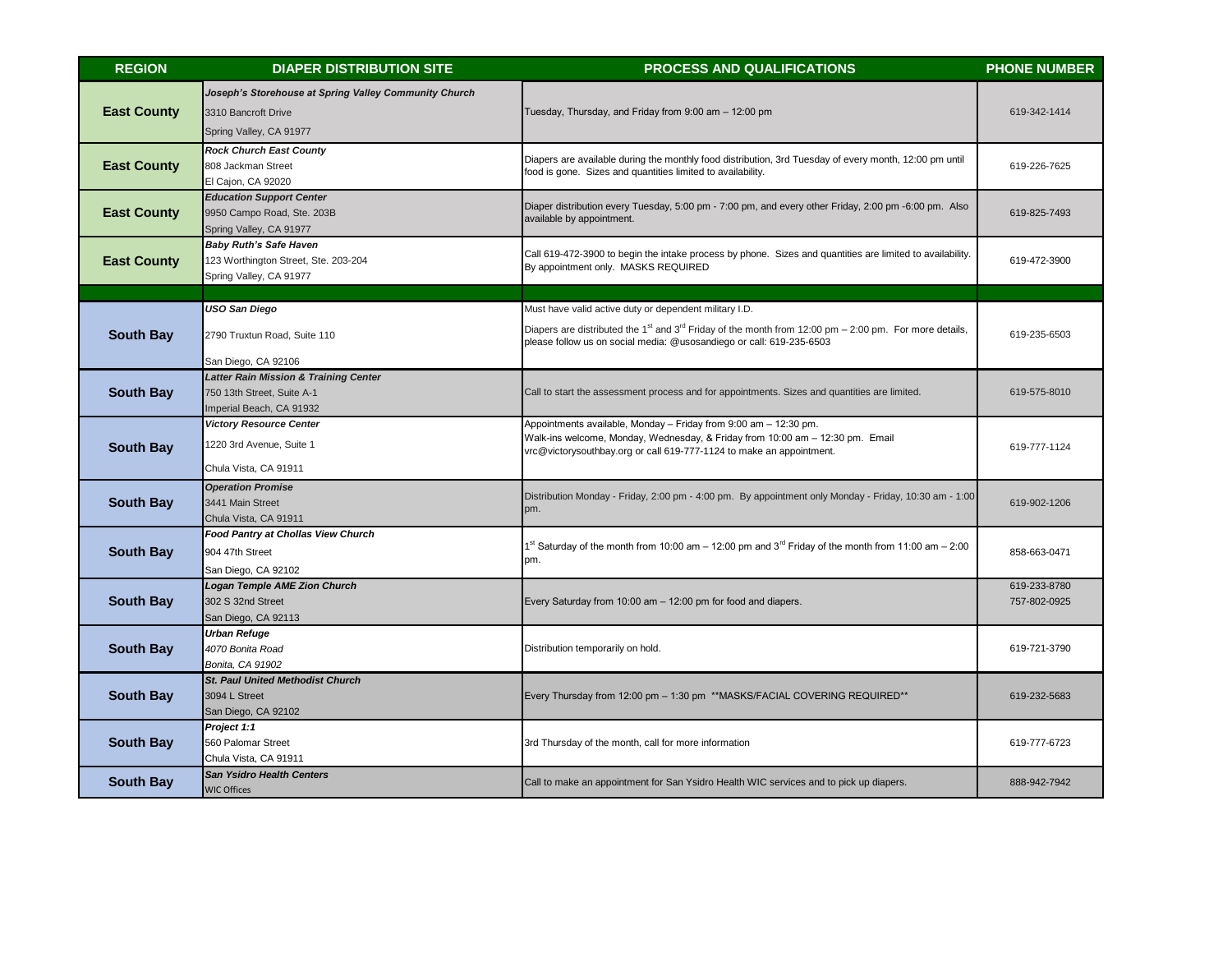| <b>REGION</b>      | <b>DIAPER DISTRIBUTION SITE</b>                                                                            | <b>PROCESS AND QUALIFICATIONS</b>                                                                                                                                                                                                                                | <b>PHONE NUMBER</b>          |
|--------------------|------------------------------------------------------------------------------------------------------------|------------------------------------------------------------------------------------------------------------------------------------------------------------------------------------------------------------------------------------------------------------------|------------------------------|
| <b>East County</b> | Joseph's Storehouse at Spring Valley Community Church<br>3310 Bancroft Drive<br>Spring Valley, CA 91977    | Tuesday, Thursday, and Friday from 9:00 am - 12:00 pm                                                                                                                                                                                                            | 619-342-1414                 |
| <b>East County</b> | <b>Rock Church East County</b><br>808 Jackman Street<br>El Cajon, CA 92020                                 | Diapers are available during the monthly food distribution, 3rd Tuesday of every month, 12:00 pm until<br>food is gone. Sizes and quantities limited to availability.                                                                                            | 619-226-7625                 |
| <b>East County</b> | <b>Education Support Center</b><br>9950 Campo Road, Ste. 203B<br>Spring Valley, CA 91977                   | Diaper distribution every Tuesday, 5:00 pm - 7:00 pm, and every other Friday, 2:00 pm -6:00 pm. Also<br>available by appointment.                                                                                                                                | 619-825-7493                 |
| <b>East County</b> | <b>Baby Ruth's Safe Haven</b><br>123 Worthington Street, Ste. 203-204<br>Spring Valley, CA 91977           | Call 619-472-3900 to begin the intake process by phone. Sizes and quantities are limited to availability.<br>By appointment only. MASKS REQUIRED                                                                                                                 | 619-472-3900                 |
|                    |                                                                                                            |                                                                                                                                                                                                                                                                  |                              |
| <b>South Bay</b>   | <b>USO San Diego</b><br>2790 Truxtun Road, Suite 110                                                       | Must have valid active duty or dependent military I.D.<br>Diapers are distributed the 1 <sup>st</sup> and 3 <sup>rd</sup> Friday of the month from 12:00 pm – 2:00 pm. For more details,<br>please follow us on social media: @usosandiego or call: 619-235-6503 | 619-235-6503                 |
|                    | San Diego, CA 92106                                                                                        |                                                                                                                                                                                                                                                                  |                              |
| <b>South Bay</b>   | <b>Latter Rain Mission &amp; Training Center</b><br>750 13th Street, Suite A-1<br>Imperial Beach, CA 91932 | Call to start the assessment process and for appointments. Sizes and quantities are limited.                                                                                                                                                                     | 619-575-8010                 |
| <b>South Bay</b>   | <b>Victory Resource Center</b><br>1220 3rd Avenue, Suite 1<br>Chula Vista, CA 91911                        | Appointments available, Monday - Friday from 9:00 am - 12:30 pm.<br>Walk-ins welcome, Monday, Wednesday, & Friday from 10:00 am - 12:30 pm. Email<br>vrc@victorysouthbay.org or call 619-777-1124 to make an appointment.                                        | 619-777-1124                 |
| <b>South Bay</b>   | <b>Operation Promise</b><br>3441 Main Street<br>Chula Vista, CA 91911                                      | Distribution Monday - Friday, 2:00 pm - 4:00 pm. By appointment only Monday - Friday, 10:30 am - 1:00<br>pm.                                                                                                                                                     | 619-902-1206                 |
| <b>South Bay</b>   | <b>Food Pantry at Chollas View Church</b><br>904 47th Street<br>San Diego, CA 92102                        | $1st$ Saturday of the month from 10:00 am – 12:00 pm and 3 <sup>rd</sup> Friday of the month from 11:00 am – 2:00<br>pm.                                                                                                                                         | 858-663-0471                 |
| <b>South Bay</b>   | <b>Logan Temple AME Zion Church</b><br>302 S 32nd Street<br>San Diego, CA 92113                            | Every Saturday from 10:00 am - 12:00 pm for food and diapers.                                                                                                                                                                                                    | 619-233-8780<br>757-802-0925 |
| <b>South Bay</b>   | <b>Urban Refuge</b><br>4070 Bonita Road<br>Bonita, CA 91902                                                | Distribution temporarily on hold.                                                                                                                                                                                                                                | 619-721-3790                 |
| <b>South Bay</b>   | <b>St. Paul United Methodist Church</b><br>3094 L Street<br>San Diego, CA 92102                            | Every Thursday from 12:00 pm - 1:30 pm **MASKS/FACIAL COVERING REQUIRED**                                                                                                                                                                                        | 619-232-5683                 |
| <b>South Bay</b>   | Project 1:1<br>560 Palomar Street<br>Chula Vista, CA 91911                                                 | 3rd Thursday of the month, call for more information                                                                                                                                                                                                             | 619-777-6723                 |
| <b>South Bay</b>   | <b>San Ysidro Health Centers</b><br><b>WIC Offices</b>                                                     | Call to make an appointment for San Ysidro Health WIC services and to pick up diapers.                                                                                                                                                                           | 888-942-7942                 |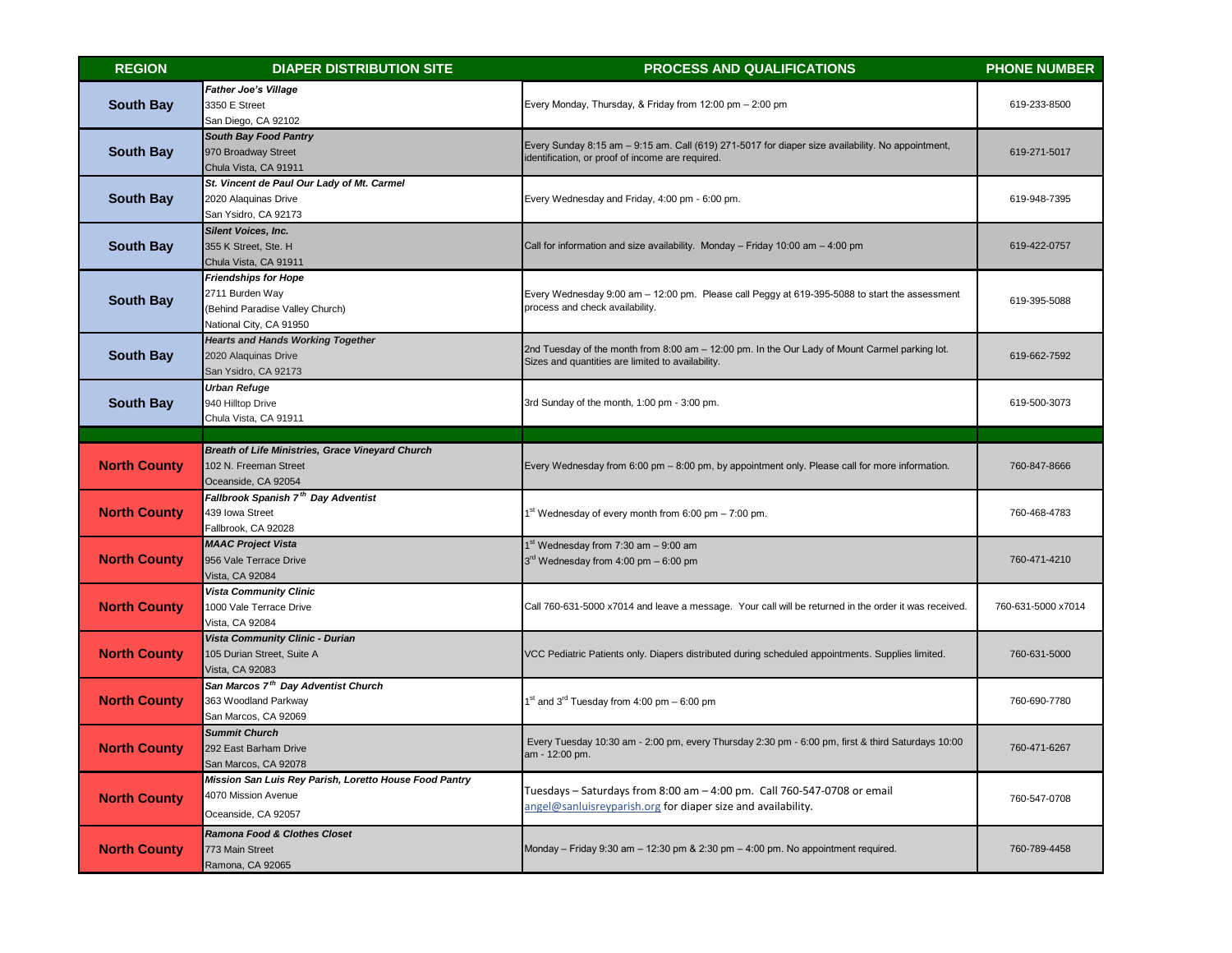| <b>REGION</b>       | <b>DIAPER DISTRIBUTION SITE</b>                                                                              | <b>PROCESS AND QUALIFICATIONS</b>                                                                                                                     | <b>PHONE NUMBER</b> |
|---------------------|--------------------------------------------------------------------------------------------------------------|-------------------------------------------------------------------------------------------------------------------------------------------------------|---------------------|
| <b>South Bay</b>    | <b>Father Joe's Village</b><br>3350 E Street<br>San Diego, CA 92102                                          | Every Monday, Thursday, & Friday from 12:00 pm - 2:00 pm                                                                                              | 619-233-8500        |
| <b>South Bay</b>    | <b>South Bay Food Pantry</b><br>970 Broadway Street<br>Chula Vista, CA 91911                                 | Every Sunday 8:15 am - 9:15 am. Call (619) 271-5017 for diaper size availability. No appointment,<br>identification, or proof of income are required. | 619-271-5017        |
| <b>South Bay</b>    | St. Vincent de Paul Our Lady of Mt. Carmel<br>2020 Alaquinas Drive<br>San Ysidro, CA 92173                   | Every Wednesday and Friday, 4:00 pm - 6:00 pm.                                                                                                        | 619-948-7395        |
| <b>South Bay</b>    | <b>Silent Voices, Inc.</b><br>355 K Street, Ste. H<br>Chula Vista, CA 91911                                  | Call for information and size availability. Monday - Friday 10:00 am - 4:00 pm                                                                        | 619-422-0757        |
| <b>South Bay</b>    | <b>Friendships for Hope</b><br>2711 Burden Way<br>(Behind Paradise Valley Church)<br>National City, CA 91950 | Every Wednesday 9:00 am - 12:00 pm. Please call Peggy at 619-395-5088 to start the assessment<br>process and check availability.                      | 619-395-5088        |
| <b>South Bay</b>    | <b>Hearts and Hands Working Together</b><br>2020 Alaquinas Drive<br>San Ysidro, CA 92173                     | 2nd Tuesday of the month from 8:00 am - 12:00 pm. In the Our Lady of Mount Carmel parking lot.<br>Sizes and quantities are limited to availability.   | 619-662-7592        |
| <b>South Bay</b>    | <b>Urban Refuge</b><br>940 Hilltop Drive<br>Chula Vista, CA 91911                                            | 3rd Sunday of the month, 1:00 pm - 3:00 pm.                                                                                                           | 619-500-3073        |
|                     |                                                                                                              |                                                                                                                                                       |                     |
| <b>North County</b> | <b>Breath of Life Ministries, Grace Vineyard Church</b><br>102 N. Freeman Street<br>Oceanside, CA 92054      | Every Wednesday from 6:00 pm - 8:00 pm, by appointment only. Please call for more information.                                                        | 760-847-8666        |
| <b>North County</b> | Fallbrook Spanish 7 <sup>th</sup> Day Adventist<br>439 Iowa Street<br>Fallbrook, CA 92028                    | 1 <sup>st</sup> Wednesday of every month from 6:00 pm – 7:00 pm.                                                                                      | 760-468-4783        |
| <b>North County</b> | <b>MAAC Project Vista</b><br>956 Vale Terrace Drive<br>Vista, CA 92084                                       | $1st$ Wednesday from 7:30 am $-$ 9:00 am<br>$3rd$ Wednesday from 4:00 pm $-$ 6:00 pm                                                                  | 760-471-4210        |
| <b>North County</b> | <b>Vista Community Clinic</b><br>1000 Vale Terrace Drive<br>Vista, CA 92084                                  | Call 760-631-5000 x7014 and leave a message. Your call will be returned in the order it was received.                                                 | 760-631-5000 x7014  |
| <b>North County</b> | Vista Community Clinic - Durian<br>105 Durian Street, Suite A<br>Vista, CA 92083                             | VCC Pediatric Patients only. Diapers distributed during scheduled appointments. Supplies limited.                                                     | 760-631-5000        |
| <b>North County</b> | San Marcos 7 <sup>th</sup> Day Adventist Church<br>363 Woodland Parkway<br>San Marcos, CA 92069              | $^{\text{st}}$ and 3 <sup>rd</sup> Tuesday from 4:00 pm – 6:00 pm                                                                                     | 760-690-7780        |
| <b>North County</b> | <b>Summit Church</b><br>292 East Barham Drive<br>San Marcos, CA 92078                                        | Every Tuesday 10:30 am - 2:00 pm, every Thursday 2:30 pm - 6:00 pm, first & third Saturdays 10:00<br>am - 12:00 pm.                                   | 760-471-6267        |
| <b>North County</b> | Mission San Luis Rey Parish, Loretto House Food Pantry<br>4070 Mission Avenue<br>Oceanside, CA 92057         | Tuesdays - Saturdays from 8:00 am - 4:00 pm. Call 760-547-0708 or email<br>angel@sanluisreyparish.org for diaper size and availability.               | 760-547-0708        |
| <b>North County</b> | Ramona Food & Clothes Closet<br>773 Main Street<br>Ramona, CA 92065                                          | Monday - Friday 9:30 am - 12:30 pm & 2:30 pm - 4:00 pm. No appointment required.                                                                      | 760-789-4458        |